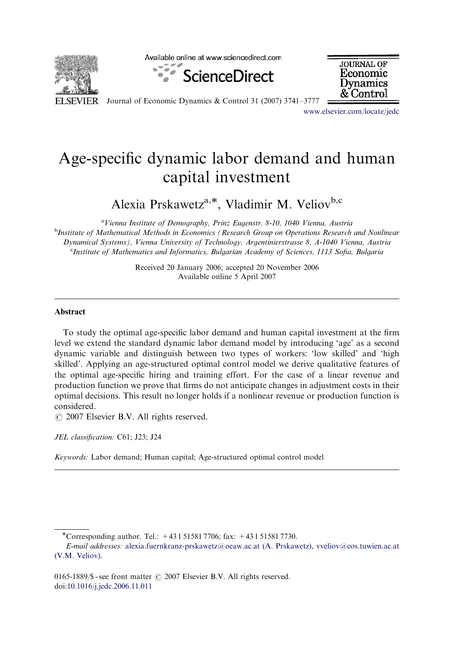

Available online at www.sciencedirect.com





ELSEVIER Journal of Economic Dynamics & Control 31 (2007) 3741-3777

<www.elsevier.com/locate/jedc>

## Age-specific dynamic labor demand and human capital investment

Alexia Prskawetz<sup>a,\*</sup>, Vladimir M. Veliov<sup>b,c</sup>

<sup>a</sup>Vienna Institute of Demography, Prinz Eugenstr. 8-10, 1040 Vienna, Austria **bInstitute of Mathematical Methods in Economics (Research Group on Operations Research and Nonlinear** Dynamical Systems), Vienna University of Technology, Argentinierstrasse 8, A-1040 Vienna, Austria <sup>c</sup>Institute of Mathematics and Informatics, Bulgarian Academy of Sciences, 1113 Sofia, Bulgaria

> Received 20 January 2006; accepted 20 November 2006 Available online 5 April 2007

## Abstract

To study the optimal age-specific labor demand and human capital investment at the firm level we extend the standard dynamic labor demand model by introducing 'age' as a second dynamic variable and distinguish between two types of workers: 'low skilled' and 'high skilled'. Applying an age-structured optimal control model we derive qualitative features of the optimal age-specific hiring and training effort. For the case of a linear revenue and production function we prove that firms do not anticipate changes in adjustment costs in their optimal decisions. This result no longer holds if a nonlinear revenue or production function is considered.

 $\odot$  2007 Elsevier B.V. All rights reserved.

JEL classification: C61; J23; J24

Keywords: Labor demand; Human capital; Age-structured optimal control model

<sup>\*</sup>Corresponding author. Tel.: +43 1 51581 7706; fax: +43 1 51581 7730.

E-mail addresses: [alexia.fuernkranz-prskawetz@oeaw.ac.at \(A. Prskawetz\)](mailto:alexia.fuernkranz-prskawetz@oeaw.ac.at), [vveliov@eos.tuwien.ac.at](mailto:vveliov@eos.tuwien.ac.at) [\(V.M. Veliov\)](mailto:vveliov@eos.tuwien.ac.at).

<sup>0165-1889/\$ -</sup> see front matter  $\odot$  2007 Elsevier B.V. All rights reserved. doi:[10.1016/j.jedc.2006.11.011](dx.doi.org/10.1016/j.jedc.2006.11.011)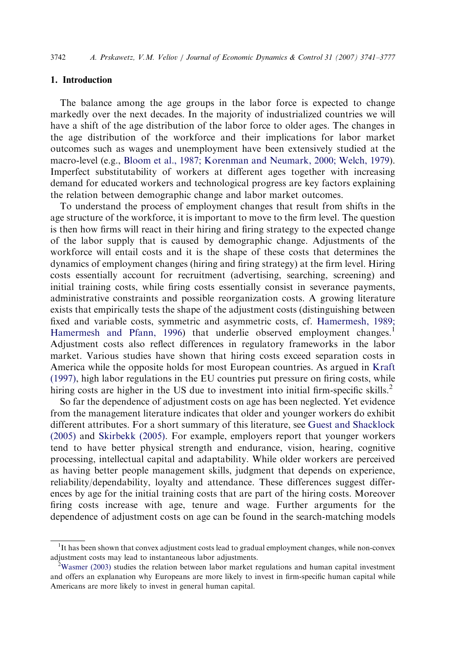## 1. Introduction

The balance among the age groups in the labor force is expected to change markedly over the next decades. In the majority of industrialized countries we will have a shift of the age distribution of the labor force to older ages. The changes in the age distribution of the workforce and their implications for labor market outcomes such as wages and unemployment have been extensively studied at the macro-level (e.g., [Bloom et al., 1987; Korenman and Neumark, 2000; Welch, 1979](#page--1-0)). Imperfect substitutability of workers at different ages together with increasing demand for educated workers and technological progress are key factors explaining the relation between demographic change and labor market outcomes.

To understand the process of employment changes that result from shifts in the age structure of the workforce, it is important to move to the firm level. The question is then how firms will react in their hiring and firing strategy to the expected change of the labor supply that is caused by demographic change. Adjustments of the workforce will entail costs and it is the shape of these costs that determines the dynamics of employment changes (hiring and firing strategy) at the firm level. Hiring costs essentially account for recruitment (advertising, searching, screening) and initial training costs, while firing costs essentially consist in severance payments, administrative constraints and possible reorganization costs. A growing literature exists that empirically tests the shape of the adjustment costs (distinguishing between fixed and variable costs, symmetric and asymmetric costs, cf. [Hamermesh, 1989;](#page--1-0) [Hamermesh and Pfann, 1996\)](#page--1-0) that underlie observed employment changes.<sup>1</sup> Adjustment costs also reflect differences in regulatory frameworks in the labor market. Various studies have shown that hiring costs exceed separation costs in America while the opposite holds for most European countries. As argued in [Kraft](#page--1-0) [\(1997\)](#page--1-0), high labor regulations in the EU countries put pressure on firing costs, while hiring costs are higher in the US due to investment into initial firm-specific skills. $2$ 

So far the dependence of adjustment costs on age has been neglected. Yet evidence from the management literature indicates that older and younger workers do exhibit different attributes. For a short summary of this literature, see [Guest and Shacklock](#page--1-0) [\(2005\)](#page--1-0) and [Skirbekk \(2005\).](#page--1-0) For example, employers report that younger workers tend to have better physical strength and endurance, vision, hearing, cognitive processing, intellectual capital and adaptability. While older workers are perceived as having better people management skills, judgment that depends on experience, reliability/dependability, loyalty and attendance. These differences suggest differences by age for the initial training costs that are part of the hiring costs. Moreover firing costs increase with age, tenure and wage. Further arguments for the dependence of adjustment costs on age can be found in the search-matching models

<sup>&</sup>lt;sup>1</sup>It has been shown that convex adjustment costs lead to gradual employment changes, while non-convex adjustment costs may lead to instantaneous labor adjustments. <sup>2</sup>

<sup>&</sup>lt;sup>2</sup>[Wasmer \(2003\)](#page--1-0) studies the relation between labor market regulations and human capital investment and offers an explanation why Europeans are more likely to invest in firm-specific human capital while Americans are more likely to invest in general human capital.